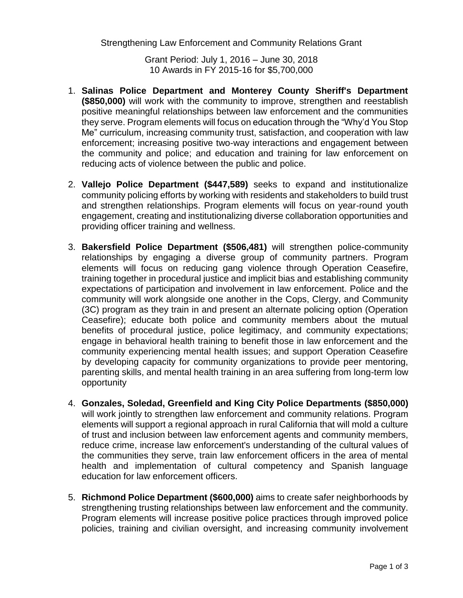Strengthening Law Enforcement and Community Relations Grant

Grant Period: July 1, 2016 – June 30, 2018 10 Awards in FY 2015-16 for \$5,700,000

- 1. **Salinas Police Department and Monterey County Sheriff's Department (\$850,000)** will work with the community to improve, strengthen and reestablish positive meaningful relationships between law enforcement and the communities they serve. Program elements will focus on education through the "Why'd You Stop Me" curriculum, increasing community trust, satisfaction, and cooperation with law enforcement; increasing positive two-way interactions and engagement between the community and police; and education and training for law enforcement on reducing acts of violence between the public and police.
- 2. **Vallejo Police Department (\$447,589)** seeks to expand and institutionalize community policing efforts by working with residents and stakeholders to build trust and strengthen relationships. Program elements will focus on year-round youth engagement, creating and institutionalizing diverse collaboration opportunities and providing officer training and wellness.
- 3. **Bakersfield Police Department (\$506,481)** will strengthen police-community relationships by engaging a diverse group of community partners. Program elements will focus on reducing gang violence through Operation Ceasefire, training together in procedural justice and implicit bias and establishing community expectations of participation and involvement in law enforcement. Police and the community will work alongside one another in the Cops, Clergy, and Community (3C) program as they train in and present an alternate policing option (Operation Ceasefire); educate both police and community members about the mutual benefits of procedural justice, police legitimacy, and community expectations; engage in behavioral health training to benefit those in law enforcement and the community experiencing mental health issues; and support Operation Ceasefire by developing capacity for community organizations to provide peer mentoring, parenting skills, and mental health training in an area suffering from long-term low opportunity
- 4. **Gonzales, Soledad, Greenfield and King City Police Departments (\$850,000)** will work jointly to strengthen law enforcement and community relations. Program elements will support a regional approach in rural California that will mold a culture of trust and inclusion between law enforcement agents and community members, reduce crime, increase law enforcement's understanding of the cultural values of the communities they serve, train law enforcement officers in the area of mental health and implementation of cultural competency and Spanish language education for law enforcement officers.
- 5. **Richmond Police Department (\$600,000)** aims to create safer neighborhoods by strengthening trusting relationships between law enforcement and the community. Program elements will increase positive police practices through improved police policies, training and civilian oversight, and increasing community involvement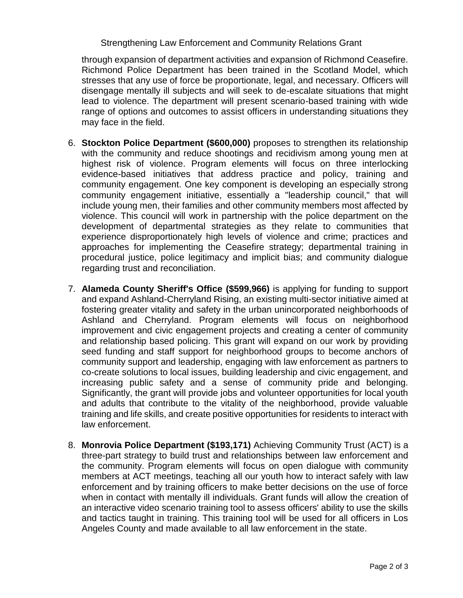## Strengthening Law Enforcement and Community Relations Grant

through expansion of department activities and expansion of Richmond Ceasefire. Richmond Police Department has been trained in the Scotland Model, which stresses that any use of force be proportionate, legal, and necessary. Officers will disengage mentally ill subjects and will seek to de-escalate situations that might lead to violence. The department will present scenario-based training with wide range of options and outcomes to assist officers in understanding situations they may face in the field.

- 6. **Stockton Police Department (\$600,000)** proposes to strengthen its relationship with the community and reduce shootings and recidivism among young men at highest risk of violence. Program elements will focus on three interlocking evidence-based initiatives that address practice and policy, training and community engagement. One key component is developing an especially strong community engagement initiative, essentially a "leadership council," that will include young men, their families and other community members most affected by violence. This council will work in partnership with the police department on the development of departmental strategies as they relate to communities that experience disproportionately high levels of violence and crime; practices and approaches for implementing the Ceasefire strategy; departmental training in procedural justice, police legitimacy and implicit bias; and community dialogue regarding trust and reconciliation.
- 7. **Alameda County Sheriff's Office (\$599,966)** is applying for funding to support and expand Ashland-Cherryland Rising, an existing multi-sector initiative aimed at fostering greater vitality and safety in the urban unincorporated neighborhoods of Ashland and Cherryland. Program elements will focus on neighborhood improvement and civic engagement projects and creating a center of community and relationship based policing. This grant will expand on our work by providing seed funding and staff support for neighborhood groups to become anchors of community support and leadership, engaging with law enforcement as partners to co-create solutions to local issues, building leadership and civic engagement, and increasing public safety and a sense of community pride and belonging. Significantly, the grant will provide jobs and volunteer opportunities for local youth and adults that contribute to the vitality of the neighborhood, provide valuable training and life skills, and create positive opportunities for residents to interact with law enforcement.
- 8. **Monrovia Police Department (\$193,171)** Achieving Community Trust (ACT) is a three-part strategy to build trust and relationships between law enforcement and the community. Program elements will focus on open dialogue with community members at ACT meetings, teaching all our youth how to interact safely with law enforcement and by training officers to make better decisions on the use of force when in contact with mentally ill individuals. Grant funds will allow the creation of an interactive video scenario training tool to assess officers' ability to use the skills and tactics taught in training. This training tool will be used for all officers in Los Angeles County and made available to all law enforcement in the state.